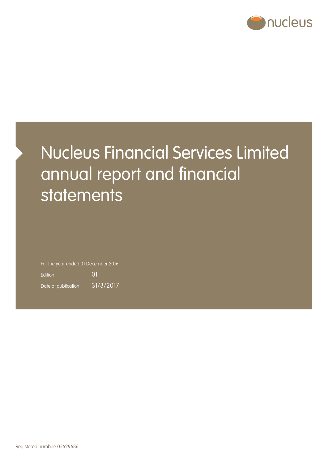

# Nucleus Financial Services Limited annual report and financial statements

For the year ended 31 December 2016 Edition 01

Date of publication 31/3/2017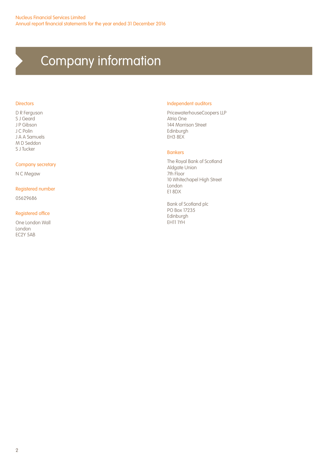# Company information

#### **Directors**

D R Ferguson S J Geard J P Gibson J C Polin J A A Samuels M D Seddon S J Tucker

#### Company secretary

N C Megaw

#### Registered number

05629686

#### Registered office

One London Wall London EC2Y 5AB

#### Independent auditors

PricewaterhouseCoopers LLP Atria One 144 Morrison Street Edinburgh EH3 8EX

#### Bankers

The Royal Bank of Scotland Aldgate Union 7th Floor 10 Whitechapel High Street London E1 8DX

Bank of Scotland plc PO Box 17235 Edinburgh EH11 1YH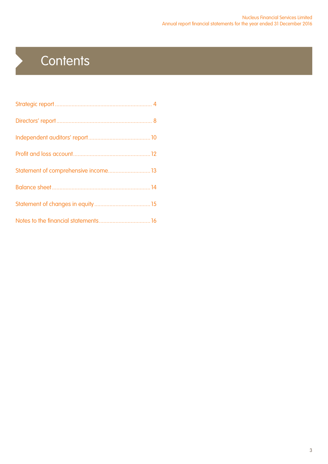# **Contents**

 $\blacktriangleright$ 

| Statement of comprehensive income 13 |  |
|--------------------------------------|--|
|                                      |  |
|                                      |  |
|                                      |  |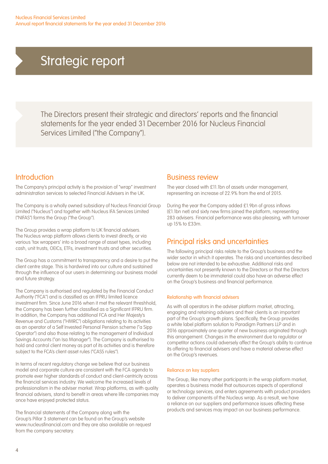The Directors present their strategic and directors' reports and the financial statements for the year ended 31 December 2016 for Nucleus Financial Services Limited ("the Company").

## Introduction

The Company's principal activity is the provision of "wrap" investment administration services to selected Financial Advisers in the UK.

The Company is a wholly owned subsidiary of Nucleus Financial Group Limited ("Nucleus") and together with Nucleus IFA Services Limited ("NIFAS") forms the Group ("the Group").

The Group provides a wrap platform to UK financial advisers. The Nucleus wrap platform allows clients to invest directly, or via various 'tax wrappers' into a broad range of asset types, including cash, unit trusts, OEICs, ETFs, investment trusts and other securities.

The Group has a commitment to transparency and a desire to put the client centre stage. This is hardwired into our culture and sustained through the influence of our users in determining our business model and future strategy.

The Company is authorised and regulated by the Financial Conduct Authority ("FCA") and is classified as an IFPRU limited licence investment firm. Since June 2016 when it met the relevant threshhold, the Company has been further classified as a Significant IFPRU firm. In addition, the Company has additional FCA and Her Majesty's Revenue and Customs ("HMRC") obligations relating to its activities as an operator of a Self Invested Personal Pension scheme ("a Sipp Operator") and also those relating to the management of Individual Savings Accounts ("an Isa Manager"). The Company is authorised to hold and control client money as part of its activities and is therefore subject to the FCA's client asset rules ("CASS rules").

In terms of recent regulatory change we believe that our business model and corporate culture are consistent with the FCA agenda to promote ever higher standards of conduct and client-centricity across the financial services industry. We welcome the increased levels of professionalism in the adviser market. Wrap platforms, as with quality financial advisers, stand to benefit in areas where life companies may once have enjoyed protected status.

The financial statements of the Company along with the Group's Pillar 3 statement can be found on the Group's website www.nucleusfinancial.com and they are also available on request from the company secretary.

### Business review

The year closed with £11.1bn of assets under management. representing an increase of 22.9% from the end of 2015.

During the year the Company added £1.9bn of gross inflows (£1.1bn net) and sixty new firms joined the platform, representing 283 advisers. Financial performance was also pleasing, with turnover up 15% to £33m.

## Principal risks and uncertainties

The following principal risks relate to the Group's business and the wider sector in which it operates. The risks and uncertainties described below are not intended to be exhaustive. Additional risks and uncertainties not presently known to the Directors or that the Directors currently deem to be immaterial could also have an adverse effect on the Group's business and financial performance.

#### Relationship with financial advisers

As with all operators in the adviser platform market, attracting, engaging and retaining advisers and their clients is an important part of the Group's growth plans. Specifically, the Group provides a white label platform solution to Paradigm Partners LLP and in 2016 approximately one quarter of new business originated through this arrangement. Changes in the environment due to regulator or competitor actions could adversely affect the Group's ability to continue its offering to financial advisers and have a material adverse effect on the Group's revenues.

#### Reliance on key suppliers

The Group, like many other participants in the wrap platform market, operates a business model that outsources aspects of operational or technology services, and enters agreements with product providers to deliver components of the Nucleus wrap. As a result, we have a reliance on our suppliers and performance issues affecting these products and services may impact on our business performance.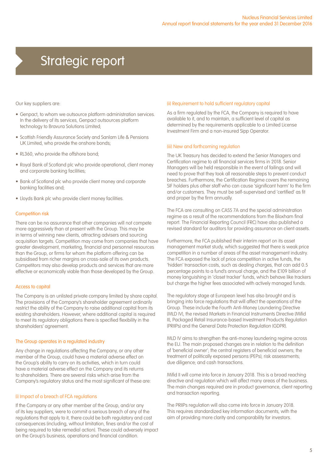Our key suppliers are:

- Genpact, to whom we outsource platform administration services. In the delivery of its services, Genpact outsources platform technology to Bravura Solutions Limited;
- Scottish Friendly Assurance Society and Sanlam Life & Pensions UK Limited, who provide the onshore bonds;
- RL360, who provide the offshore bond;
- Royal Bank of Scotland plc who provide operational, client money and corporate banking facilities;
- Bank of Scotland plc who provide client money and corporate banking facilities and;
- Lloyds Bank plc who provide client money facilities.

#### Competition risk

There can be no assurance that other companies will not compete more aggressively than at present with the Group. This may be in terms of winning new clients, attracting advisers and sourcing acquisition targets. Competition may come from companies that have greater development, marketing, financial and personnel resources than the Group, or firms for whom the platform offering can be subsidised from richer margins on cross-sale of its own products. Competitors may also develop products and services that are more effective or economically viable than those developed by the Group.

#### Access to capital

The Company is an unlisted private company limited by share capital. The provisions of the Company's shareholder agreement ordinarily restrict the ability of the Company to raise additional capital from its existing shareholders. However, where additional capital is required to meet its regulatory obligations there is specified flexibility in the shareholders' agreement.

#### The Group operates in a regulated industry

Any change in regulations affecting the Company, or any other member of the Group, could have a material adverse effect on the Group's ability to carry on its activities, which in turn could have a material adverse effect on the Company and its returns to shareholders. There are several risks which arise from the Company's regulatory status and the most significant of these are:

#### (i) Impact of a breach of FCA regulations

If the Company or any other member of the Group, and/or any of its key suppliers, were to commit a serious breach of any of the regulations that apply to it, there could be both regulatory and cost consequences (including, without limitation, fines and/or the cost of being required to take remedial action). These could adversely impact on the Group's business, operations and financial condition.

#### (ii) Requirement to hold sufficient regulatory capital

As a firm regulated by the FCA, the Company is required to have available to it, and to maintain, a sufficient level of capital as determined by the requirements applicable to a Limited License Investment Firm and a non-insured Sipp Operator.

#### (iii) New and forthcoming regulation

The UK Treasury has decided to extend the Senior Managers and Certification regime to all financial services firms in 2018. Senior Managers will be held responsible in the event of failings and will need to prove that they took all reasonable steps to prevent conduct breaches. Furthermore, the Certification Regime covers the remaining SIF holders plus other staff who can cause 'significant harm' to the firm and/or customers. They must be self-supervised and 'certified' as fit and proper by the firm annually.

The FCA are consulting on CASS 7A and the special administration regime as a result of the recommendations from the Bloxham final report. The Financial Reporting Council (FRC) have also published a revised standard for auditors for providing assurance on client assets.

Furthermore, the FCA published their interim report on its asset management market study, which suggested that there is weak price competition in a number of areas of the asset management industry. The FCA exposed the lack of price competition in active funds, the 'hidden' transaction costs, such as dealing charges, that can add 0.5 percentage points to a fund's annual charge, and the £109 billion of money languishing in 'closet tracker' funds, which behave like trackers but charge the higher fees associated with actively managed funds.

The regulatory stage at European level has also brought and is bringing into force regulations that will affect the operations of the Group. These include the Fourth Anti-Money Laundering Directive (MLD IV), the revised Markets in Financial Instruments Directive (Mifid II), Packaged Retail Insurance-based Investment Products Regulation (PRIIPs) and the General Data Protection Regulation (GDPR).

MLD IV aims to strengthen the anti-money laundering regime across the EU. The main proposed changes are in relation to the definition of 'beneficial owner'; the central registers of beneficial owners; the treatment of politically exposed persons (PEPs); risk assessments; due diligence; and cash transactions.

Mifid II will come into force in January 2018. This is a broad reaching directive and regulation which will affect many areas of the business. The main changes required are in product governance, client reporting and transaction reporting.

The PRIIPs regulation will also come into force in January 2018. This requires standardized key information documents, with the aim of providing more clarity and comparability for investors.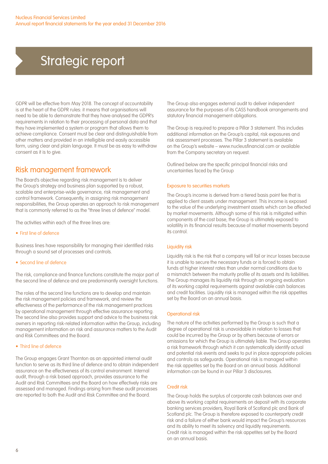GDPR will be effective from May 2018. The concept of accountability is at the heart of the GDPR rules: it means that organisations will need to be able to demonstrate that they have analysed the GDPR's requirements in relation to their processing of personal data and that they have implemented a system or program that allows them to achieve compliance. Consent must be clear and distinguishable from other matters and provided in an intelligible and easily accessible form, using clear and plain language. It must be as easy to withdraw consent as it is to give.

## Risk management framework

The Board's objective regarding risk management is to deliver the Group's strategy and business plan supported by a robust, scalable and enterprise-wide governance, risk management and control framework. Consequently, in assigning risk management responsibilities, the Group operates an approach to risk management that is commonly referred to as the "three lines of defence" model.

The activities within each of the three lines are:

• First line of defence

Business lines have responsibility for managing their identified risks through a sound set of processes and controls.

#### • Second line of defence

The risk, compliance and finance functions constitute the major part of the second line of defence and are predominantly oversight functions.

The roles of the second line functions are to develop and maintain the risk management policies and framework, and review the effectiveness of the performance of the risk management practices by operational management through effective assurance reporting. The second line also provides support and advice to the business risk owners in reporting risk-related information within the Group, including management information on risk and assurance matters to the Audit and Risk Committees and the Board.

#### • Third line of defence

The Group engages Grant Thornton as an appointed internal audit function to serve as its third line of defence and to obtain independent assurance on the effectiveness of its control environment. Internal audit, through a risk based approach, provides assurance to the Audit and Risk Committees and the Board on how effectively risks are assessed and managed. Findings arising from these audit processes are reported to both the Audit and Risk Committee and the Board.

The Group also engages external audit to deliver independent assurance for the purposes of its CASS handbook arrangements and statutory financial management obligations.

The Group is required to prepare a Pillar 3 statement. This includes additional information on the Group's capital, risk exposures and risk assessment processes. The Pillar 3 statement is available on the Group's website – www.nucleusfinancial.com or available from the Company secretary on request.

Outlined below are the specific principal financial risks and uncertainties faced by the Group

#### Exposure to securities markets

The Group's income is derived from a tiered basis point fee that is applied to client assets under management. This income is exposed to the value of the underlying investment assets which can be affected by market movements. Although some of this risk is mitigated within components of the cost base, the Group is ultimately exposed to volatility in its financial results because of market movements beyond its control.

#### Liquidity risk

Liquidity risk is the risk that a company will fail or incur losses because it is unable to secure the necessary funds or is forced to obtain funds at higher interest rates than under normal conditions due to a mismatch between the maturity profile of its assets and its liabilities. The Group manages its liquidity risk through an ongoing evaluation of its working capital requirements against available cash balances and credit facilities. Liquidity risk is managed within the risk appetites set by the Board on an annual basis.

#### Operational risk

The nature of the activities performed by the Group is such that a degree of operational risk is unavoidable in relation to losses that could be incurred by the Group or by others because of errors or omissions for which the Group is ultimately liable. The Group operates a risk framework through which it can systematically identify actual and potential risk events and seeks to put in place appropriate policies and controls as safeguards. Operational risk is managed within the risk appetites set by the Board on an annual basis. Additional information can be found in our Pillar 3 disclosures.

#### Credit risk

The Group holds the surplus of corporate cash balances over and above its working capital requirements on deposit with its corporate banking services providers, Royal Bank of Scotland plc and Bank of Scotland plc. The Group is therefore exposed to counterparty credit risk and a failure of either bank would impact the Group's resources and its ability to meet its solvency and liquidity requirements. Credit risk is managed within the risk appetites set by the Board on an annual basis.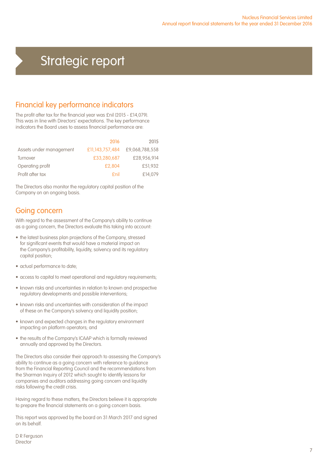## Financial key performance indicators

The profit after tax for the financial year was £nil (2015 - £14,079). This was in line with Directors' expectations. The key performance indicators the Board uses to assess financial performance are:

|                         | 2016            | 2015           |
|-------------------------|-----------------|----------------|
| Assets under management | £11,143,757,484 | £9.068.788.558 |
| Turnover                | £33,280,687     | £28,956,914    |
| Operating profit        | £2,804          | £51,932        |
| Profit after tax        | fnil            | £14.079        |

The Directors also monitor the regulatory capital position of the Company on an ongoing basis.

## Going concern

With regard to the assessment of the Company's ability to continue as a going concern, the Directors evaluate this taking into account:

- the latest business plan projections of the Company, stressed for significant events that would have a material impact on the Company's profitability, liquidity, solvency and its regulatory capital position;
- actual performance to date;
- access to capital to meet operational and regulatory requirements;
- known risks and uncertainties in relation to known and prospective regulatory developments and possible interventions;
- known risks and uncertainties with consideration of the impact of these on the Company's solvency and liquidity position;
- known and expected changes in the regulatory environment impacting on platform operators; and
- the results of the Company's ICAAP which is formally reviewed annually and approved by the Directors.

The Directors also consider their approach to assessing the Company's ability to continue as a going concern with reference to guidance from the Financial Reporting Council and the recommendations from the Sharman Inquiry of 2012 which sought to identify lessons for companies and auditors addressing going concern and liquidity risks following the credit crisis.

Having regard to these matters, the Directors believe it is appropriate to prepare the financial statements on a going concern basis.

This report was approved by the board on 31 March 2017 and signed on its behalf.

D R Ferguson Director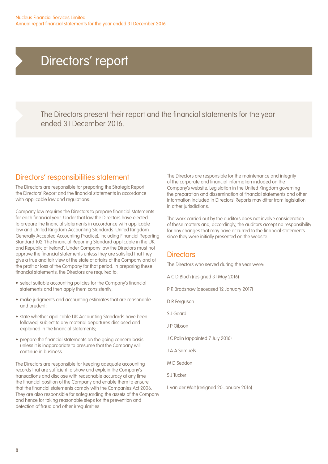## Directors' report

The Directors present their report and the financial statements for the year ended 31 December 2016.

## Directors' responsibilities statement

The Directors are responsible for preparing the Strategic Report, the Directors' Report and the financial statements in accordance with applicable law and regulations.

Company law requires the Directors to prepare financial statements for each financial year. Under that law the Directors have elected to prepare the financial statements in accordance with applicable law and United Kingdom Accounting Standards (United Kingdom Generally Accepted Accounting Practice), including Financial Reporting Standard 102 'The Financial Reporting Standard applicable in the UK and Republic of Ireland'. Under Company law the Directors must not approve the financial statements unless they are satisfied that they give a true and fair view of the state of affairs of the Company and of the profit or loss of the Company for that period. In preparing these financial statements, the Directors are required to:

- select suitable accounting policies for the Company's financial statements and then apply them consistently;
- make judgments and accounting estimates that are reasonable and prudent;
- state whether applicable UK Accounting Standards have been followed, subject to any material departures disclosed and explained in the financial statements;
- prepare the financial statements on the going concern basis unless it is inappropriate to presume that the Company will continue in business.

The Directors are responsible for keeping adequate accounting records that are sufficient to show and explain the Company's transactions and disclose with reasonable accuracy at any time the financial position of the Company and enable them to ensure that the financial statements comply with the Companies Act 2006. They are also responsible for safeguarding the assets of the Company and hence for taking reasonable steps for the prevention and detection of fraud and other irregularities.

The Directors are responsible for the maintenance and integrity of the corporate and financial information included on the Company's website. Legislation in the United Kingdom governing the preparation and dissemination of financial statements and other information included in Directors' Reports may differ from legislation in other jurisdictions.

The work carried out by the auditors does not involve consideration of these matters and, accordingly, the auditors accept no responsibility for any changes that may have occurred to the financial statements since they were initially presented on the website.

## **Directors**

The Directors who served during the year were:

- A C D Bloch (resigned 31 May 2016)
- P R Bradshaw (deceased 12 January 2017)
- D R Ferguson
- S J Geard
- J P Gibson
- J C Polin (appointed 7 July 2016)
- J A A Samuels
- M D Seddon
- S J Tucker

L van der Walt (resigned 20 January 2016)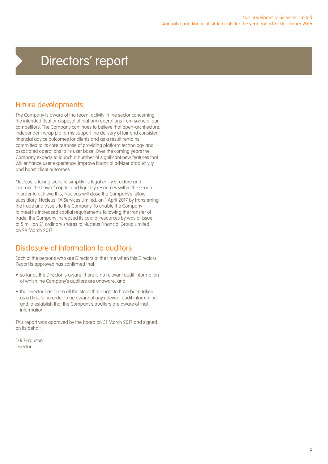## Directors' report

## Future developments

The Company is aware of the recent activity in the sector concerning the intended float or disposal of platform operations from some of our competitors. The Company continues to believe that open-architecture, independent wrap platforms support the delivery of fair and consistent financial advice outcomes for clients and as a result remains committed to its core purpose of providing platform technology and associated operations to its user base. Over the coming years the Company expects to launch a number of significant new features that will enhance user experience, improve financial adviser productivity and boost client outcomes.

Nucleus is taking steps to simplify its legal entity structure and improve the flow of capital and liquidity resources within the Group. In order to achieve this, Nucleus will close the Company's fellow subsidiary, Nucleus IFA Services Limited, on 1 April 2017 by transferring the trade and assets to the Company. To enable the Company to meet its increased capital requirements following the transfer of trade, the Company increased its capital resources by way of issue of 5 million £1 ordinary shares to Nucleus Financial Group Limited on 29 March 2017.

## Disclosure of information to auditors

Each of the persons who are Directors at the time when this Directors' Report is approved has confirmed that:

- so far as the Director is aware, there is no relevant audit information of which the Company's auditors are unaware, and
- the Director has taken all the steps that ought to have been taken as a Director in order to be aware of any relevant audit information and to establish that the Company's auditors are aware of that information.

This report was approved by the board on 31 March 2017 and signed on its behalf.

D R Ferguson **Director**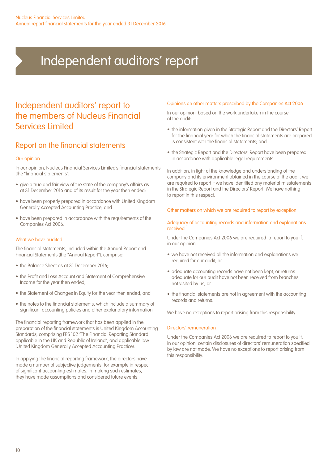# Independent auditors' report

## Independent auditors' report to the members of Nucleus Financial Services Limited

## Report on the financial statements

#### Our opinion

In our opinion, Nucleus Financial Services Limited's financial statements (the "financial statements"):

- give a true and fair view of the state of the company's affairs as at 31 December 2016 and of its result for the year then ended;
- have been properly prepared in accordance with United Kingdom Generally Accepted Accounting Practice; and
- have been prepared in accordance with the requirements of the Companies Act 2006.

#### What we have audited

The financial statements, included within the Annual Report and Financial Statements (the "Annual Report"), comprise:

- the Balance Sheet as at 31 December 2016;
- the Profit and Loss Account and Statement of Comprehensive Income for the year then ended;
- the Statement of Changes in Equity for the year then ended; and
- the notes to the financial statements, which include a summary of significant accounting policies and other explanatory information

The financial reporting framework that has been applied in the preparation of the financial statements is United Kingdom Accounting Standards, comprising FRS 102 "The Financial Reporting Standard applicable in the UK and Republic of Ireland", and applicable law (United Kingdom Generally Accepted Accounting Practice).

In applying the financial reporting framework, the directors have made a number of subjective judgements, for example in respect of significant accounting estimates. In making such estimates, they have made assumptions and considered future events.

#### Opinions on other matters prescribed by the Companies Act 2006

In our opinion, based on the work undertaken in the course of the audit:

- the information given in the Strategic Report and the Directors' Report for the financial year for which the financial statements are prepared is consistent with the financial statements; and
- the Strategic Report and the Directors' Report have been prepared in accordance with applicable legal requirements

In addition, in light of the knowledge and understanding of the company and its environment obtained in the course of the audit, we are required to report if we have identified any material misstatements in the Strategic Report and the Directors' Report. We have nothing to report in this respect.

#### Other matters on which we are required to report by exception

#### Adequacy of accounting records and information and explanations received

Under the Companies Act 2006 we are required to report to you if, in our opinion:

- we have not received all the information and explanations we required for our audit; or
- adequate accounting records have not been kept, or returns adequate for our audit have not been received from branches not visited by us; or
- the financial statements are not in agreement with the accounting records and returns.

We have no exceptions to report arising from this responsibility.

#### Directors' remuneration

Under the Companies Act 2006 we are required to report to you if, in our opinion, certain disclosures of directors' remuneration specified by law are not made. We have no exceptions to report arising from this responsibility.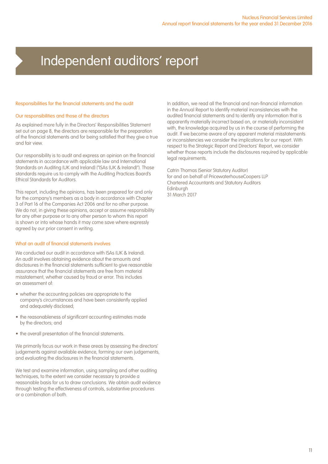## Independent auditors' report

#### Responsibilities for the financial statements and the audit

#### Our responsibilities and those of the directors

As explained more fully in the Directors' Responsibilities Statement set out on page 8, the directors are responsible for the preparation of the financial statements and for being satisfied that they give a true and fair view.

Our responsibility is to audit and express an opinion on the financial statements in accordance with applicable law and International Standards on Auditing (UK and Ireland) ("ISAs (UK & Ireland)"). Those standards require us to comply with the Auditing Practices Board's Ethical Standards for Auditors.

This report, including the opinions, has been prepared for and only for the company's members as a body in accordance with Chapter 3 of Part 16 of the Companies Act 2006 and for no other purpose. We do not, in giving these opinions, accept or assume responsibility for any other purpose or to any other person to whom this report is shown or into whose hands it may come save where expressly agreed by our prior consent in writing.

#### What an audit of financial statements involves

We conducted our audit in accordance with ISAs (UK & Ireland). An audit involves obtaining evidence about the amounts and disclosures in the financial statements sufficient to give reasonable assurance that the financial statements are free from material misstatement, whether caused by fraud or error. This includes an assessment of:

- whether the accounting policies are appropriate to the company's circumstances and have been consistently applied and adequately disclosed;
- the reasonableness of significant accounting estimates made by the directors; and
- the overall presentation of the financial statements.

We primarily focus our work in these areas by assessing the directors' judgements against available evidence, forming our own judgements, and evaluating the disclosures in the financial statements.

We test and examine information, using sampling and other auditing techniques, to the extent we consider necessary to provide a reasonable basis for us to draw conclusions. We obtain audit evidence through testing the effectiveness of controls, substantive procedures or a combination of both.

In addition, we read all the financial and non-financial information in the Annual Report to identify material inconsistencies with the audited financial statements and to identify any information that is apparently materially incorrect based on, or materially inconsistent with, the knowledge acquired by us in the course of performing the audit. If we become aware of any apparent material misstatements or inconsistencies we consider the implications for our report. With respect to the Strategic Report and Directors' Report, we consider whether those reports include the disclosures required by applicable legal requirements.

Catrin Thomas (Senior Statutory Auditor) for and on behalf of PricewaterhouseCoopers LLP Chartered Accountants and Statutory Auditors Edinburgh 31 March 2017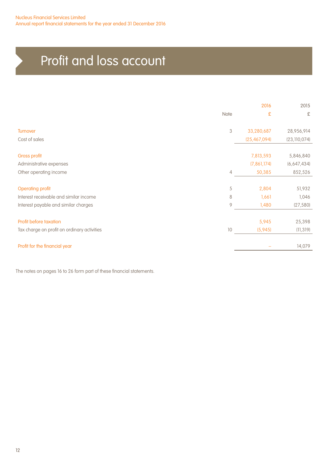# Profit and loss account

|                                             |                           | 2016           | 2015           |
|---------------------------------------------|---------------------------|----------------|----------------|
|                                             | Note                      | £              | £              |
| <b>Turnover</b>                             | $\ensuremath{\mathbf{3}}$ | 33,280,687     | 28,956,914     |
| Cost of sales                               |                           | (25, 467, 094) | (23, 110, 074) |
| <b>Gross profit</b>                         |                           | 7,813,593      | 5,846,840      |
| Administrative expenses                     |                           | (7, 861, 174)  | (6,647,434)    |
| Other operating income                      | $\overline{4}$            | 50,385         | 852,526        |
| <b>Operating profit</b>                     | 5                         | 2,804          | 51,932         |
| Interest receivable and similar income      | 8                         | 1,661          | 1,046          |
| Interest payable and similar charges        | $\overline{9}$            | 1,480          | (27, 580)      |
| Profit before taxation                      |                           | 5,945          | 25,398         |
| Tax charge on profit on ordinary activities | 10                        | (5,945)        | (11, 319)      |
| Profit for the financial year               |                           |                | 14,079         |

The notes on pages 16 to 26 form part of these financial statements.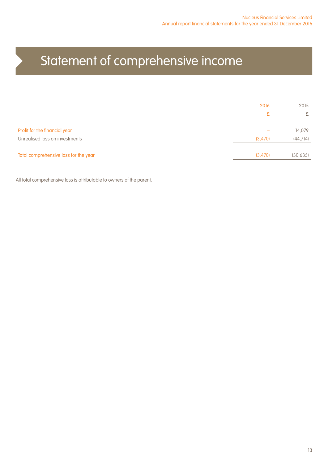# Statement of comprehensive income

|                                       | 2016    | 2015      |
|---------------------------------------|---------|-----------|
|                                       | £       | £         |
|                                       |         |           |
| Profit for the financial year         |         | 14,079    |
| Unrealised loss on investments        | (3,470) | (44, 714) |
|                                       |         |           |
| Total comprehensive loss for the year | (3,470) | (30, 635) |

All total comprehensive loss is attributable to owners of the parent.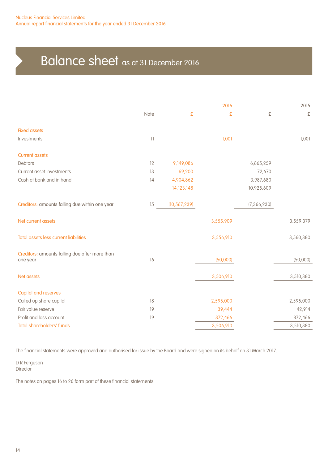# Balance sheet as at 31 December 2016

| Note            | £              | 2016<br>£ | £             | 2015<br>£ |
|-----------------|----------------|-----------|---------------|-----------|
|                 |                |           |               |           |
| $\overline{11}$ |                | 1,001     |               | 1,001     |
|                 |                |           |               |           |
| 12              | 9,149,086      |           | 6,865,259     |           |
| 13              | 69,200         |           | 72,670        |           |
| 14              | 4,904,862      |           | 3,987,680     |           |
|                 | 14,123,148     |           | 10,925,609    |           |
| 15              | (10, 567, 239) |           | (7, 366, 230) |           |
|                 |                | 3,555,909 |               | 3,559,379 |
|                 |                | 3,556,910 |               | 3,560,380 |
|                 |                |           |               |           |
|                 |                |           |               | (50,000)  |
|                 |                | 3,506,910 |               | 3,510,380 |
|                 |                |           |               |           |
| 18              |                | 2,595,000 |               | 2,595,000 |
| 19              |                | 39,444    |               | 42,914    |
| 19              |                | 872,466   |               | 872,466   |
|                 |                | 3,506,910 |               | 3,510,380 |
|                 | 16             |           | (50,000)      |           |

The financial statements were approved and authorised for issue by the Board and were signed on its behalf on 31 March 2017.

D R Ferguson **Director** 

The notes on pages 16 to 26 form part of these financial statements.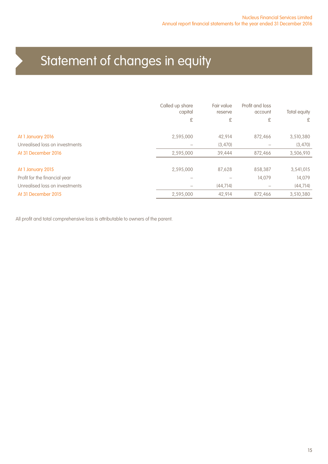# Statement of changes in equity

|                                | Called up share<br>capital<br>£ | Fair value<br>reserve<br>£ | Profit and loss<br>account<br>£ | Total equity<br>£ |
|--------------------------------|---------------------------------|----------------------------|---------------------------------|-------------------|
| At 1 January 2016              | 2,595,000                       | 42,914                     | 872,466                         | 3,510,380         |
| Unrealised loss on investments |                                 | (3,470)                    |                                 | (3,470)           |
| At 31 December 2016            | 2,595,000                       | 39,444                     | 872.466                         | 3,506,910         |
| At 1 January 2015              | 2,595,000                       | 87,628                     | 858,387                         | 3,541,015         |
| Profit for the financial year  |                                 |                            | 14.079                          | 14.079            |
| Unrealised loss on investments |                                 | (44, 714)                  |                                 | (44, 714)         |
| At 31 December 2015            | 2,595,000                       | 42,914                     | 872.466                         | 3,510,380         |
|                                |                                 |                            |                                 |                   |

All profit and total comprehensive loss is attributable to owners of the parent.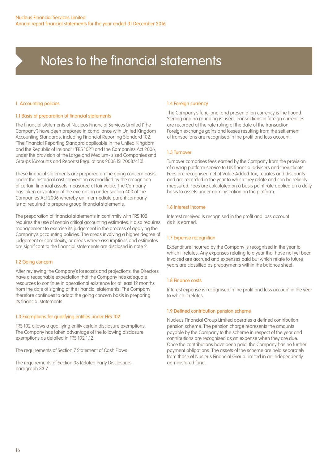#### 1. Accounting policies

#### 1.1 Basis of preparation of financial statements

The financial statements of Nucleus Financial Services Limited ("the Company") have been prepared in compliance with United Kingdom Accounting Standards, including Financial Reporting Standard 102, "The Financial Reporting Standard applicable in the United Kingdom and the Republic of Ireland" ("FRS 102") and the Companies Act 2006, under the provision of the Large and Medium- sized Companies and Groups (Accounts and Reports) Regulations 2008 (SI 2008/410).

These financial statements are prepared on the going concern basis, under the historical cost convention as modified by the recognition of certain financial assets measured at fair value. The Company has taken advantage of the exemption under section 400 of the Companies Act 2006 whereby an intermediate parent company is not required to prepare group financial statements.

The preparation of financial statements in confirmity with FRS 102 requires the use of certain critical accounting estimates. It also requires management to exercise its judgement in the process of applying the Company's accounting policies. The areas involving a higher degree of judgement or complexity, or areas where assumptions and estimates are significant to the financial statements are disclosed in note 2.

#### 1.2 Going concern

After reviewing the Company's forecasts and projections, the Directors have a reasonable expectation that the Company has adequate resources to continue in operational existence for at least 12 months from the date of signing of the financial statements. The Company therefore continues to adopt the going concern basis in preparing its financial statements.

#### 1.3 Exemptions for qualifying entities under FRS 102

FRS 102 allows a qualifying entity certain disclosure exemptions. The Company has taken advantage of the following disclosure exemptions as detailed in FRS 102 1.12:

The requirements of Section 7 Statement of Cash Flows

The requirements of Section 33 Related Party Disclosures paragraph 33.7

#### 1.4 Foreign currency

The Company's functional and presentation currency is the Pound Sterling and no rounding is used. Transactions in foreign currencies are recorded at the rate ruling at the date of the transaction. Foreign exchange gains and losses resulting from the settlement of transactions are recognised in the profit and loss account.

#### 1.5 Turnover

Turnover comprises fees earned by the Company from the provision of a wrap platform service to UK financial advisers and their clients. Fees are recognised net of Value Added Tax, rebates and discounts and are recorded in the year to which they relate and can be reliably measured. Fees are calculated on a basis point rate applied on a daily basis to assets under administration on the platform.

#### 1.6 Interest income

Interest received is recognised in the profit and loss account as it is earned.

#### 1.7 Expense recognition

Expenditure incurred by the Company is recognised in the year to which it relates. Any expenses relating to a year that have not yet been invoiced are accrued and expenses paid but which relate to future years are classified as prepayments within the balance sheet.

#### 1.8 Finance costs

Interest expense is recognised in the profit and loss account in the year to which it relates.

#### 1.9 Defined contribution pension scheme

Nucleus Financial Group Limited operates a defined contribution pension scheme. The pension charge represents the amounts payable by the Company to the scheme in respect of the year and contributions are recognised as an expense when they are due. Once the contributions have been paid, the Company has no further payment obligations. The assets of the scheme are held separately from those of Nucleus Financial Group Limited in an independently administered fund.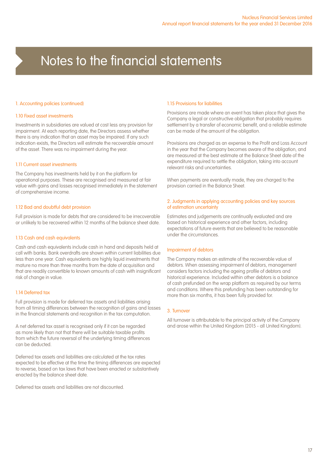#### 1. Accounting policies (continued)

#### 1.10 Fixed asset investments

Investments in subsidiaries are valued at cost less any provision for impairment. At each reporting date, the Directors assess whether there is any indication that an asset may be impaired. If any such indication exists, the Directors will estimate the recoverable amount of the asset. There was no impairment during the year.

#### 1.11 Current asset investments

The Company has investments held by it on the platform for operational purposes. These are recognised and measured at fair value with gains and losses recognised immediately in the statement of comprehensive income.

#### 1.12 Bad and doubtful debt provision

Full provision is made for debts that are considered to be irrecoverable or unlikely to be recovered within 12 months of the balance sheet date.

#### 1.13 Cash and cash equivalents

Cash and cash equivalents include cash in hand and deposits held at call with banks. Bank overdrafts are shown within current liabilities due less than one year. Cash equivalents are highly liquid investments that mature no more than three months from the date of acquisition and that are readily convertible to known amounts of cash with insignificant risk of change in value.

#### 1.14 Deferred tax

Full provision is made for deferred tax assets and liabilities arising from all timing differences between the recognition of gains and losses in the financial statements and recognition in the tax computation.

A net deferred tax asset is recognised only if it can be regarded as more likely than not that there will be suitable taxable profits from which the future reversal of the underlying timing differences can be deducted.

Deferred tax assets and liabilities are calculated at the tax rates expected to be effective at the time the timing differences are expected to reverse, based on tax laws that have been enacted or substantively enacted by the balance sheet date.

Deferred tax assets and liabilities are not discounted.

#### 1.15 Provisions for liabilities

Provisions are made where an event has taken place that gives the Company a legal or constructive obligation that probably requires settlement by a transfer of economic benefit, and a reliable estimate can be made of the amount of the obligation.

Provisions are charged as an expense to the Profit and Loss Account in the year that the Company becomes aware of the obligation, and are measured at the best estimate at the Balance Sheet date of the expenditure required to settle the obligation, taking into account relevant risks and uncertainties.

When payments are eventually made, they are charged to the provision carried in the Balance Sheet.

#### 2. Judgments in applying accounting policies and key sources of estimation uncertainty

Estimates and judgements are continually evaluated and are based on historical experience and other factors, including expectations of future events that are believed to be reasonable under the circumstances.

#### Impairment of debtors

The Company makes an estimate of the recoverable value of debtors. When assessing impairment of debtors, management considers factors including the ageing profile of debtors and historical experience. Included within other debtors is a balance of cash prefunded on the wrap platform as required by our terms and conditions. Where this prefunding has been outstanding for more than six months, it has been fully provided for.

#### 3. Turnover

All turnover is attributable to the principal activity of the Company and arose within the United Kingdom (2015 - all United Kingdom).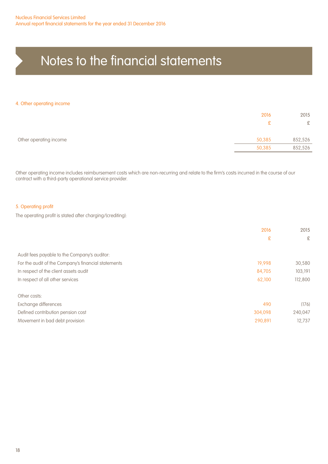#### 4. Other operating income

|                        | 2016   | 2015    |
|------------------------|--------|---------|
|                        |        | £       |
| Other operating income | 50,385 | 852,526 |
|                        | 50,385 | 852,526 |

Other operating income includes reimbursement costs which are non-recurring and relate to the firm's costs incurred in the course of our contract with a third-party operational service provider.

#### 5. Operating profit

The operating profit is stated after charging/(crediting):

|                                                     | 2016    | 2015    |
|-----------------------------------------------------|---------|---------|
|                                                     | £       | £       |
|                                                     |         |         |
| Audit fees payable to the Company's auditor:        |         |         |
| For the audit of the Company's financial statements | 19,998  | 30,580  |
| In respect of the client assets audit               | 84,705  | 103,191 |
| In respect of all other services                    | 62,100  | 112,800 |
| Other costs:                                        |         |         |
| Exchange differences                                | 490     | (176)   |
| Defined contribution pension cost                   | 304,098 | 240,047 |
| Movement in bad debt provision                      | 290,891 | 12.737  |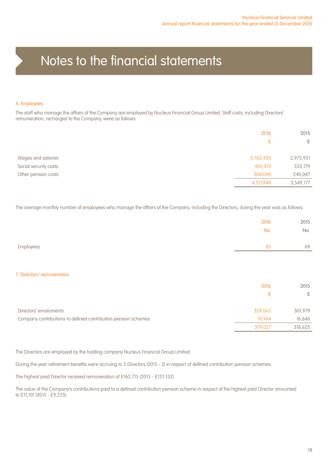#### 6. Employees

The staff who manage the affairs of the Company are employed by Nucleus Financial Group Limited. Staff costs, including Directors' remuneration, recharged to the Company, were as follows:

|                       | 2016<br>£ | 2015<br>£ |
|-----------------------|-----------|-----------|
|                       |           |           |
| Wages and salaries    | 3,762,433 | 2,975,951 |
| Social security costs | 445,313   | 333,179   |
| Other pension costs   | 304,098   | 240,047   |
|                       | 4,511,844 | 3,549,177 |

The average monthly number of employees who manage the affairs of the Company, including the Directors, during the year was as follows:

|                                                               | 2016    | 2015    |
|---------------------------------------------------------------|---------|---------|
|                                                               | No.     | No.     |
|                                                               |         |         |
| Employees                                                     | 85      | 69      |
|                                                               |         |         |
|                                                               |         |         |
| 7. Directors' remuneration                                    |         |         |
|                                                               | 2016    | 2015    |
|                                                               | £       | £       |
|                                                               |         |         |
| Directors' emoluments                                         | 359,063 | 301,979 |
| Company contributions to defined contribution pension schemes | 19,964  | 16,646  |
|                                                               | 379,027 | 318,625 |

The Directors are employed by the holding company Nucleus Financial Group Limited.

During the year retirement benefits were accruing to 2 Directors (2015 - 2) in respect of defined contribution pension schemes.

The highest paid Director received remuneration of £162,715 (2015 - £137,152).

The value of the Company's contributions paid to a defined contribution pension scheme in respect of the highest paid Director amounted to £11,101 (2015 - £9,255).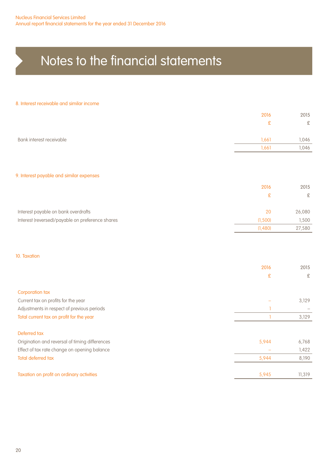#### 8. Interest receivable and similar income

|                                                  | 2016         | 2015      |
|--------------------------------------------------|--------------|-----------|
|                                                  | £            | £         |
|                                                  |              |           |
| Bank interest receivable                         | 1,661        | 1,046     |
|                                                  | 1,661        | 1,046     |
|                                                  |              |           |
|                                                  |              |           |
| 9. Interest payable and similar expenses         |              |           |
|                                                  | 2016         | 2015      |
|                                                  | £            | £         |
|                                                  |              |           |
| Interest payable on bank overdrafts              | 20           | 26,080    |
| Interest (reversed)/payable on preference shares | (1,500)      | 1,500     |
|                                                  | (1,480)      | 27,580    |
|                                                  |              |           |
|                                                  |              |           |
| 10. Taxation                                     |              |           |
|                                                  | 2016         | 2015      |
|                                                  | £            | $\pounds$ |
|                                                  |              |           |
| <b>Corporation tax</b>                           |              |           |
| Current tax on profits for the year              |              | 3,129     |
| Adjustments in respect of previous periods       | T            |           |
| Total current tax on profit for the year         | $\mathbf{1}$ | 3,129     |
|                                                  |              |           |
| Deferred tax                                     |              |           |
| Origination and reversal of timing differences   | 5,944        | 6,768     |
| Effect of tax rate change on opening balance     |              | 1,422     |
| <b>Total deferred tax</b>                        | 5,944        | 8,190     |
|                                                  |              |           |
| Taxation on profit on ordinary activities        | 5,945        | 11,319    |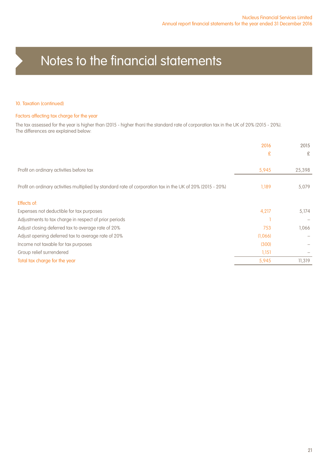#### 10. Taxation (continued)

#### Factors affecting tax charge for the year

The tax assessed for the year is higher than (2015 - higher than) the standard rate of corporation tax in the UK of 20% (2015 - 20%). The differences are explained below:

|                                                                                                            | 2016    | 2015   |
|------------------------------------------------------------------------------------------------------------|---------|--------|
|                                                                                                            | £       | £      |
|                                                                                                            |         |        |
| Profit on ordinary activities before tax                                                                   | 5,945   | 25,398 |
|                                                                                                            |         |        |
| Profit on ordinary activities multiplied by standard rate of corporation tax in the UK of 20% (2015 - 20%) | 1,189   | 5,079  |
|                                                                                                            |         |        |
| Effects of:                                                                                                |         |        |
| Expenses not deductible for tax purposes                                                                   | 4,217   | 5,174  |
| Adjustments to tax charge in respect of prior periods                                                      |         |        |
| Adjust closing deferred tax to average rate of 20%                                                         | 753     | 1,066  |
| Adjust opening deferred tax to average rate of 20%                                                         | (1,066) |        |
| Income not taxable for tax purposes                                                                        | (300)   |        |
| Group relief surrendered                                                                                   | 1,151   |        |
| Total tax charge for the year                                                                              | 5,945   | 11,319 |
|                                                                                                            |         |        |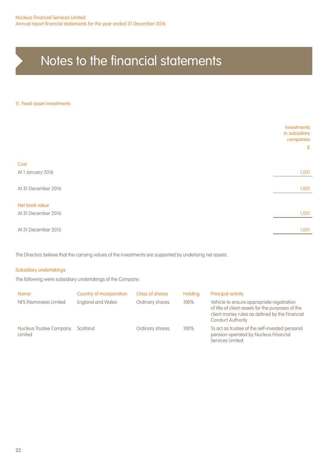#### 11. Fixed asset investments

|                     | Investments<br>in subsidiary<br>companies<br>E |
|---------------------|------------------------------------------------|
| Cost                |                                                |
| At 1 January 2016   | 1,001                                          |
| At 31 December 2016 | 1,001                                          |
| Net book value      |                                                |
| At 31 December 2016 | 1,001                                          |
| At 31 December 2015 | 1,001                                          |

The Directors believe that the carrying values of the investments are supported by underlying net assets.

#### Subsidiary undertakings

The following were subsidiary undertakings of the Company:

| <b>Name</b>                        | Country of incorporation | Class of shares | <b>Holding</b> | Principal activity                                                                                                                                                            |
|------------------------------------|--------------------------|-----------------|----------------|-------------------------------------------------------------------------------------------------------------------------------------------------------------------------------|
| NFS (Nominees) Limited             | <b>England and Wales</b> | Ordinary shares | 100%           | Vehicle to ensure appropriate registration<br>of title of client assets for the purposes of the<br>client money rules as defined by the Financial<br><b>Conduct Authority</b> |
| Nucleus Trustee Company<br>Limited | Scotland                 | Ordinary shares | 100%           | To act as trustee of the self-invested personal<br>pension operated by Nucleus Financial<br>Services Limited                                                                  |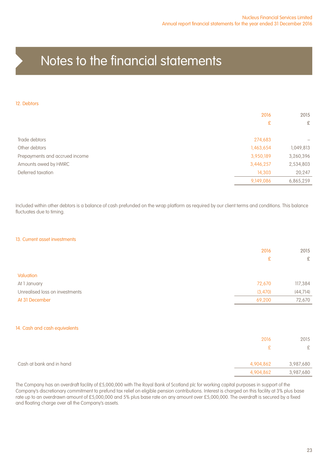#### 12. Debtors

|                                | 2016      | 2015      |
|--------------------------------|-----------|-----------|
|                                | £         | £         |
| Trade debtors                  | 274,683   |           |
| Other debtors                  | 1,463,654 | 1,049,813 |
| Prepayments and accrued income | 3,950,189 | 3,260,396 |
| Amounts owed by HMRC           | 3,446,257 | 2,534,803 |
| Deferred taxation              | 14,303    | 20,247    |
|                                | 9,149,086 | 6,865,259 |

Included within other debtors is a balance of cash prefunded on the wrap platform as required by our client terms and conditions. This balance fluctuates due to timing.

#### 13. Current asset investments

|                                | 2016         | 2015      |
|--------------------------------|--------------|-----------|
|                                | £            | $\pounds$ |
|                                |              |           |
| Valuation                      |              |           |
| At 1 January                   | 72,670       | 117,384   |
| Unrealised loss on investments | (3,470)      | (44, 714) |
| At 31 December                 | 69,200       | 72,670    |
|                                |              |           |
| 14. Cash and cash equivalents  |              |           |
|                                | 2016         | 2015      |
|                                | $\mathbf{E}$ | £         |
| Cash at bank and in hand       | 4,904,862    | 3,987,680 |
|                                | 4,904,862    | 3,987,680 |

The Company has an overdraft facility of £5,000,000 with The Royal Bank of Scotland plc for working capital purposes in support of the Company's discretionary commitment to prefund tax relief on eligible pension contributions. Interest is charged on this facility at 3% plus base rate up to an overdrawn amount of £5,000,000 and 5% plus base rate on any amount over £5,000,000. The overdraft is secured by a fixed and floating charge over all the Company's assets.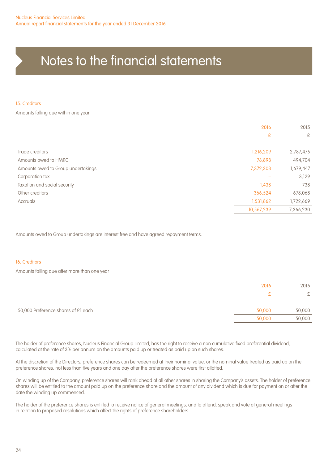#### 15. Creditors

Amounts falling due within one year

|                                    | 2016       | 2015      |
|------------------------------------|------------|-----------|
|                                    | £          | £         |
| Trade creditors                    | 1,216,209  | 2,787,475 |
| Amounts owed to HMRC               | 78,898     | 494,704   |
| Amounts owed to Group undertakings | 7,372,308  | 1,679,447 |
| Corporation tax                    |            | 3,129     |
| Taxation and social security       | 1,438      | 738       |
| Other creditors                    | 366,524    | 678,068   |
| Accruals                           | 1,531,862  | 1,722,669 |
|                                    | 10,567,239 | 7,366,230 |

Amounts owed to Group undertakings are interest free and have agreed repayment terms.

#### 16. Creditors

Amounts falling due after more than one year

|                                     | 2016   | 2015   |
|-------------------------------------|--------|--------|
|                                     |        | £      |
| 50,000 Preference shares of £1 each | 50,000 | 50,000 |
|                                     | 50,000 | 50,000 |

The holder of preference shares, Nucleus Financial Group Limited, has the right to receive a non cumulative fixed preferential dividend, calculated at the rate of 3% per annum on the amounts paid up or treated as paid up on such shares.

At the discretion of the Directors, preference shares can be redeemed at their nominal value, or the nominal value treated as paid up on the preference shares, not less than five years and one day after the preference shares were first allotted.

On winding up of the Company, preference shares will rank ahead of all other shares in sharing the Company's assets. The holder of preference shares will be entitled to the amount paid up on the preference share and the amount of any dividend which is due for payment on or after the date the winding up commenced.

The holder of the preference shares is entitled to receive notice of general meetings, and to attend, speak and vote at general meetings in relation to proposed resolutions which affect the rights of preference shareholders.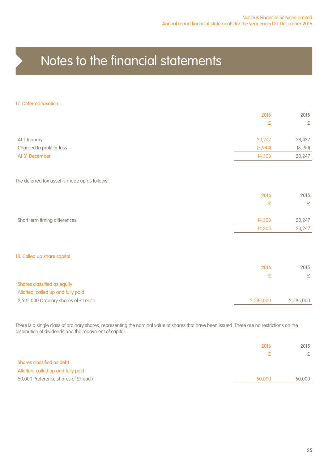#### 17. Deferred taxation

|                                               | 2016      | 2015      |
|-----------------------------------------------|-----------|-----------|
|                                               | £         | £         |
| At 1 January                                  | 20,247    | 28,437    |
| Charged to profit or loss                     | (5,944)   | (8,190)   |
| At 31 December                                | 14,303    | 20,247    |
|                                               |           |           |
| The deferred tax asset is made up as follows: |           |           |
|                                               | 2016      | 2015      |
|                                               | £         | $\pounds$ |
| Short term timing differences                 | 14,303    | 20,247    |
|                                               | 14,303    | 20,247    |
|                                               |           |           |
| 18. Called up share capital                   |           |           |
|                                               | 2016      | 2015      |
|                                               | £         | £         |
| Shares classified as equity                   |           |           |
| Allotted, called up and fully paid            |           |           |
| 2,595,000 Ordinary shares of £1 each          | 2,595,000 | 2,595,000 |

There is a single class of ordinary shares, representing the nominal value of shares that have been issued. There are no restrictions on the distribution of dividends and the repayment of capital.

|                                     | 2016   | 2015          |
|-------------------------------------|--------|---------------|
|                                     | £.     | $\mathcal{F}$ |
| Shares classified as debt           |        |               |
| Allotted, called up and fully paid  |        |               |
| 50,000 Preference shares of £1 each | 50,000 | 50,000        |
|                                     |        |               |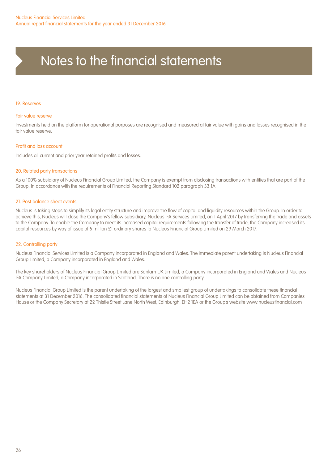#### 19. Reserves

#### Fair value reserve

Investments held on the platform for operational purposes are recognised and measured at fair value with gains and losses recognised in the fair value reserve.

#### Profit and loss account

Includes all current and prior year retained profits and losses.

#### 20. Related party transactions

As a 100% subsidiary of Nucleus Financial Group Limited, the Company is exempt from disclosing transactions with entities that are part of the Group, in accordance with the requirements of Financial Reporting Standard 102 paragraph 33.1A

#### 21. Post balance sheet events

Nucleus is taking steps to simplify its legal entity structure and improve the flow of capital and liquidity resources within the Group. In order to achieve this, Nucleus will close the Company's fellow subsidiary, Nucleus IFA Services Limited, on 1 April 2017 by transferring the trade and assets to the Company. To enable the Company to meet its increased capital requirements following the transfer of trade, the Company increased its capital resources by way of issue of 5 million £1 ordinary shares to Nucleus Financial Group Limited on 29 March 2017.

#### 22. Controlling party

Nucleus Financial Services Limited is a Company incorporated in England and Wales. The immediate parent undertaking is Nucleus Financial Group Limited, a Company incorporated in England and Wales.

The key shareholders of Nucleus Financial Group Limited are Sanlam UK Limited, a Company incorporated in England and Wales and Nucleus IFA Company Limited, a Company incorporated in Scotland. There is no one controlling party.

Nucleus Financial Group Limited is the parent undertaking of the largest and smallest group of undertakings to consolidate these financial statements at 31 December 2016. The consolidated financial statements of Nucleus Financial Group Limited can be obtained from Companies House or the Company Secretary at 22 Thistle Street Lane North West, Edinburgh, EH2 1EA or the Group's website www.nucleusfinancial.com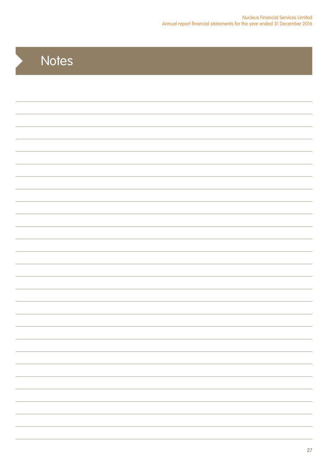# **Notes**